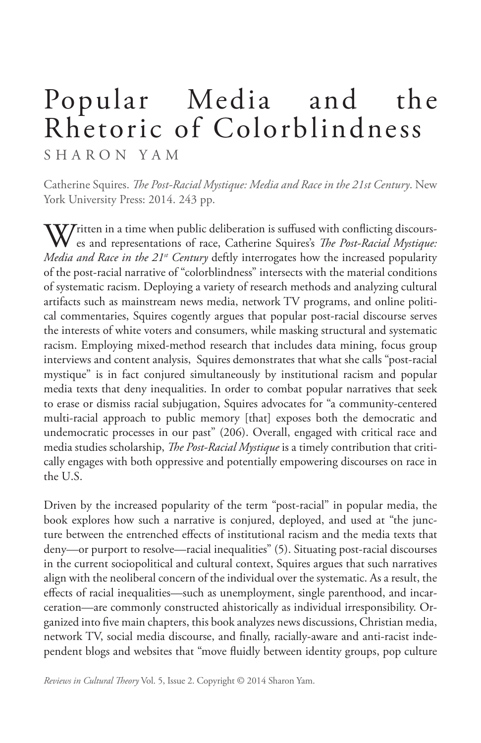## Popular Media and the Rhetoric of Colorblindness

SHARON YAM

Catherine Squires. *The Post-Racial Mystique: Media and Race in the 21st Century*. New York University Press: 2014. 243 pp.

 $\bf W$ Tritten in a time when public deliberation is suffused with conflicting discourses and representations of race, Catherine Squires's *The Post-Racial Mystique: Media and Race in the 21<sup>st</sup> Century* deftly interrogates how the increased popularity of the post-racial narrative of "colorblindness" intersects with the material conditions of systematic racism. Deploying a variety of research methods and analyzing cultural artifacts such as mainstream news media, network TV programs, and online political commentaries, Squires cogently argues that popular post-racial discourse serves the interests of white voters and consumers, while masking structural and systematic racism. Employing mixed-method research that includes data mining, focus group interviews and content analysis, Squires demonstrates that what she calls "post-racial mystique" is in fact conjured simultaneously by institutional racism and popular media texts that deny inequalities. In order to combat popular narratives that seek to erase or dismiss racial subjugation, Squires advocates for "a community-centered multi-racial approach to public memory [that] exposes both the democratic and undemocratic processes in our past" (206). Overall, engaged with critical race and media studies scholarship, *The Post-Racial Mystique* is a timely contribution that critically engages with both oppressive and potentially empowering discourses on race in the U.S.

Driven by the increased popularity of the term "post-racial" in popular media, the book explores how such a narrative is conjured, deployed, and used at "the juncture between the entrenched effects of institutional racism and the media texts that deny—or purport to resolve—racial inequalities" (5). Situating post-racial discourses in the current sociopolitical and cultural context, Squires argues that such narratives align with the neoliberal concern of the individual over the systematic. As a result, the effects of racial inequalities—such as unemployment, single parenthood, and incarceration—are commonly constructed ahistorically as individual irresponsibility. Organized into five main chapters, this book analyzes news discussions, Christian media, network TV, social media discourse, and finally, racially-aware and anti-racist independent blogs and websites that "move fluidly between identity groups, pop culture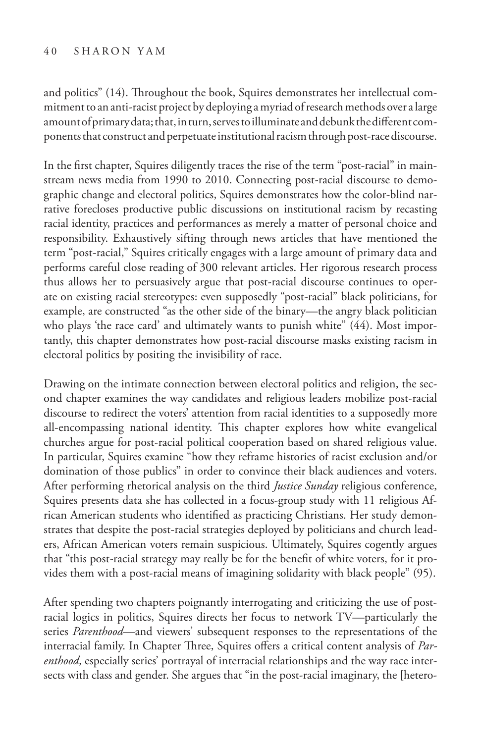## 40 S haron Y am

and politics" (14). Throughout the book, Squires demonstrates her intellectual commitment to an anti-racist project by deploying a myriad of research methods over a large amount of primary data; that, in turn, serves to illuminate and debunk the different components that construct and perpetuate institutional racism through post-race discourse.

In the first chapter, Squires diligently traces the rise of the term "post-racial" in mainstream news media from 1990 to 2010. Connecting post-racial discourse to demographic change and electoral politics, Squires demonstrates how the color-blind narrative forecloses productive public discussions on institutional racism by recasting racial identity, practices and performances as merely a matter of personal choice and responsibility. Exhaustively sifting through news articles that have mentioned the term "post-racial," Squires critically engages with a large amount of primary data and performs careful close reading of 300 relevant articles. Her rigorous research process thus allows her to persuasively argue that post-racial discourse continues to operate on existing racial stereotypes: even supposedly "post-racial" black politicians, for example, are constructed "as the other side of the binary—the angry black politician who plays 'the race card' and ultimately wants to punish white" (44). Most importantly, this chapter demonstrates how post-racial discourse masks existing racism in electoral politics by positing the invisibility of race.

Drawing on the intimate connection between electoral politics and religion, the second chapter examines the way candidates and religious leaders mobilize post-racial discourse to redirect the voters' attention from racial identities to a supposedly more all-encompassing national identity. This chapter explores how white evangelical churches argue for post-racial political cooperation based on shared religious value. In particular, Squires examine "how they reframe histories of racist exclusion and/or domination of those publics" in order to convince their black audiences and voters. After performing rhetorical analysis on the third *Justice Sunday* religious conference, Squires presents data she has collected in a focus-group study with 11 religious African American students who identified as practicing Christians. Her study demonstrates that despite the post-racial strategies deployed by politicians and church leaders, African American voters remain suspicious. Ultimately, Squires cogently argues that "this post-racial strategy may really be for the benefit of white voters, for it provides them with a post-racial means of imagining solidarity with black people" (95).

After spending two chapters poignantly interrogating and criticizing the use of postracial logics in politics, Squires directs her focus to network TV—particularly the series *Parenthood*—and viewers' subsequent responses to the representations of the interracial family. In Chapter Three, Squires offers a critical content analysis of *Parenthood*, especially series' portrayal of interracial relationships and the way race intersects with class and gender. She argues that "in the post-racial imaginary, the [hetero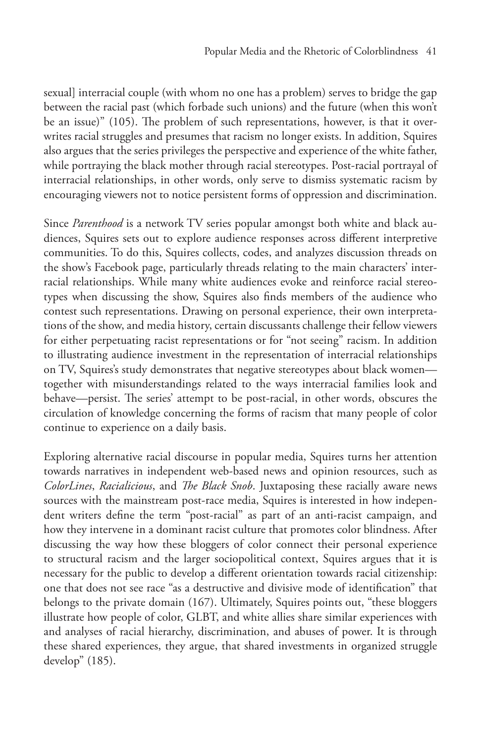sexual] interracial couple (with whom no one has a problem) serves to bridge the gap between the racial past (which forbade such unions) and the future (when this won't be an issue)" (105). The problem of such representations, however, is that it overwrites racial struggles and presumes that racism no longer exists. In addition, Squires also argues that the series privileges the perspective and experience of the white father, while portraying the black mother through racial stereotypes. Post-racial portrayal of interracial relationships, in other words, only serve to dismiss systematic racism by encouraging viewers not to notice persistent forms of oppression and discrimination.

Since *Parenthood* is a network TV series popular amongst both white and black audiences, Squires sets out to explore audience responses across different interpretive communities. To do this, Squires collects, codes, and analyzes discussion threads on the show's Facebook page, particularly threads relating to the main characters' interracial relationships. While many white audiences evoke and reinforce racial stereotypes when discussing the show, Squires also finds members of the audience who contest such representations. Drawing on personal experience, their own interpretations of the show, and media history, certain discussants challenge their fellow viewers for either perpetuating racist representations or for "not seeing" racism. In addition to illustrating audience investment in the representation of interracial relationships on TV, Squires's study demonstrates that negative stereotypes about black women together with misunderstandings related to the ways interracial families look and behave—persist. The series' attempt to be post-racial, in other words, obscures the circulation of knowledge concerning the forms of racism that many people of color continue to experience on a daily basis.

Exploring alternative racial discourse in popular media, Squires turns her attention towards narratives in independent web-based news and opinion resources, such as *ColorLines*, *Racialicious*, and *The Black Snob*. Juxtaposing these racially aware news sources with the mainstream post-race media, Squires is interested in how independent writers define the term "post-racial" as part of an anti-racist campaign, and how they intervene in a dominant racist culture that promotes color blindness. After discussing the way how these bloggers of color connect their personal experience to structural racism and the larger sociopolitical context, Squires argues that it is necessary for the public to develop a different orientation towards racial citizenship: one that does not see race "as a destructive and divisive mode of identification" that belongs to the private domain (167). Ultimately, Squires points out, "these bloggers illustrate how people of color, GLBT, and white allies share similar experiences with and analyses of racial hierarchy, discrimination, and abuses of power. It is through these shared experiences, they argue, that shared investments in organized struggle develop" (185).